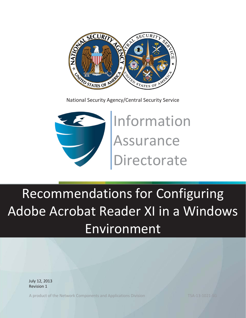

National Security Agency/Central Security Service



Information Assurance Directorate

# Recommendations for Configuring Adobe Acrobat Reader XI in a Windows Environment

July 12, 2013 Revision 1

A product of the Network Components and Applications Division TSA-13-1021-SG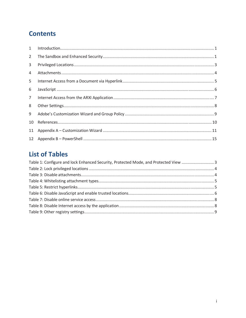# **Contents**

| 1              |  |
|----------------|--|
| $\overline{2}$ |  |
| 3              |  |
| 4              |  |
| 5              |  |
| 6              |  |
| $7^{\circ}$    |  |
| 8              |  |
| 9              |  |
| 10             |  |
| 11             |  |
|                |  |

# **List of Tables**

| Table 1: Configure and lock Enhanced Security, Protected Mode, and Protected View 3 |  |
|-------------------------------------------------------------------------------------|--|
|                                                                                     |  |
|                                                                                     |  |
|                                                                                     |  |
|                                                                                     |  |
|                                                                                     |  |
|                                                                                     |  |
|                                                                                     |  |
|                                                                                     |  |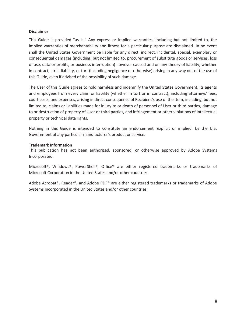#### **Disclaimer**

This Guide is provided "as is." Any express or implied warranties, including but not limited to, the implied warranties of merchantability and fitness for a particular purpose are disclaimed. In no event shall the United States Government be liable for any direct, indirect, incidental, special, exemplary or consequential damages (including, but not limited to, procurement of substitute goods or services, loss of use, data or profits, or business interruption) however caused and on any theory of liability, whether in contract, strict liability, or tort (including negligence or otherwise) arising in any way out of the use of this Guide, even if advised of the possibility of such damage.

The User of this Guide agrees to hold harmless and indemnify the United States Government, its agents and employees from every claim or liability (whether in tort or in contract), including attorneys' fees, court costs, and expenses, arising in direct consequence of Recipient's use of the item, including, but not limited to, claims or liabilities made for injury to or death of personnel of User or third parties, damage to or destruction of property of User or third parties, and infringement or other violations of intellectual property or technical data rights.

Nothing in this Guide is intended to constitute an endorsement, explicit or implied, by the U.S. Government of any particular manufacturer's product or service.

#### **Trademark Information**

This publication has not been authorized, sponsored, or otherwise approved by Adobe Systems Incorporated.

Microsoft®, Windows®, PowerShell®, Office® are either registered trademarks or trademarks of Microsoft Corporation in the United States and/or other countries.

Adobe Acrobat®, Reader®, and Adobe PDF® are either registered trademarks or trademarks of Adobe Systems Incorporated in the United States and/or other countries.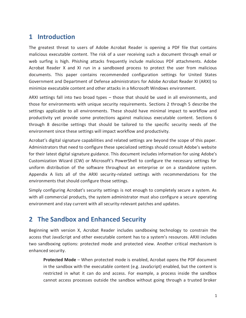#### **1 Introduction**

The greatest threat to users of Adobe Acrobat Reader is opening a PDF file that contains malicious executable content. The risk of a user receiving such a document through email or web surfing is high. Phishing attacks frequently include malicious PDF attachments. Adobe Acrobat Reader X and XI run in a sandboxed process to protect the user from malicious documents. This paper contains recommended configuration settings for United States Government and Department of Defense administrators for Adobe Acrobat Reader XI (ARXI) to minimize executable content and other attacks in a Microsoft Windows environment.

ARXI settings fall into two broad types – those that should be used in all environments, and those for environments with unique security requirements. Sections 2 through 5 describe the settings applicable to all environments. These should have minimal impact to workflow and productivity yet provide some protections against malicious executable content. Sections 6 through 8 describe settings that should be tailored to the specific security needs of the environment since these settings will impact workflow and productivity.

Acrobat's digital signature capabilities and related settings are beyond the scope of this paper. Administrators that need to configure these specialized settings should consult Adobe's website for their latest digital signature guidance. This document includes information for using Adobe's Customization Wizard (CW) or Microsoft's PowerShell to configure the necessary settings for uniform distribution of the software throughout an enterprise or on a standalone system. Appendix A lists all of the ARXI security-related settings with recommendations for the environments that should configure those settings.

Simply configuring Acrobat's security settings is not enough to completely secure a system. As with all commercial products, the system administrator must also configure a secure operating environment and stay current with all security-relevant patches and updates.

#### **2 The Sandbox and Enhanced Security**

Beginning with version X, Acrobat Reader includes sandboxing technology to constrain the access that JavaScript and other executable content has to a system's resources. ARXI includes two sandboxing options: protected mode and protected view. Another critical mechanism is enhanced security.

**Protected Mode** – When protected mode is enabled, Acrobat opens the PDF document in the sandbox with the executable content (e.g. JavaScript) enabled, but the content is restricted in what it can do and access. For example, a process inside the sandbox cannot access processes outside the sandbox without going through a trusted broker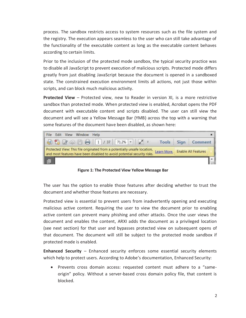process. The sandbox restricts access to system resources such as the file system and the registry. The execution appears seamless to the user who can still take advantage of the functionality of the executable content as long as the executable content behaves according to certain limits.

Prior to the inclusion of the protected mode sandbox, the typical security practice was to disable all JavaScript to prevent execution of malicious scripts. Protected mode differs greatly from just disabling JavaScript because the document is opened in a sandboxed state. The constrained execution environment limits all actions, not just those within scripts, and can block much malicious activity.

**Protected View** – Protected view, new to Reader in version XI, is a more restrictive sandbox than protected mode. When protected view is enabled, Acrobat opens the PDF document with executable content and scripts disabled. The user can still view the document and will see a Yellow Message Bar (YMB) across the top with a warning that some features of the document have been disabled, as shown here:



**Figure 1: The Protected View Yellow Message Bar** 

The user has the option to enable those features after deciding whether to trust the document and whether those features are necessary.

Protected view is essential to prevent users from inadvertently opening and executing malicious active content. Requiring the user to view the document prior to enabling active content can prevent many phishing and other attacks. Once the user views the document and enables the content, ARXI adds the document as a privileged location (see next section) for that user and bypasses protected view on subsequent opens of that document. The document will still be subject to the protected mode sandbox if protected mode is enabled.

**Enhanced Security** – Enhanced security enforces some essential security elements which help to protect users. According to Adobe's documentation, Enhanced Security:

• Prevents cross domain access: requested content must adhere to a "sameorigin" policy. Without a server-based cross domain policy file, that content is blocked.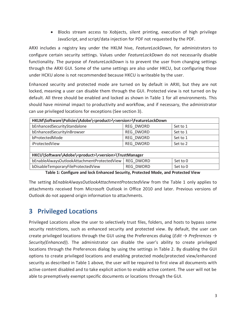• Blocks stream access to Xobjects, silent printing, execution of high privilege JavaScript, and script/data injection for PDF not requested by the PDF.

ARXI includes a registry key under the HKLM hive, *FeatureLockDown*, for administrators to configure certain security settings. Values under *FeatureLockDown* do not necessarily disable functionality. The purpose of *FeatureLockDown* is to prevent the user from changing settings through the ARXI GUI. Some of the same settings are also under HKCU, but configuring those under HCKU alone is not recommended because HKCU is writeable by the user.

Enhanced security and protected mode are turned on by default in ARXI, but they are not locked, meaning a user can disable them through the GUI. Protected view is not turned on by default. All three should be enabled and locked as shown in Table 1 for all environments. This should have minimal impact to productivity and workflow, and if necessary, the administrator can use privileged locations for exceptions (See section 3).

| HKLM\Software\Policies\Adobe\ <product>\<version>\FeatureLockDown</version></product> |                  |          |  |  |
|---------------------------------------------------------------------------------------|------------------|----------|--|--|
| bEnhancedSecurityStandalone                                                           | REG DWORD        | Set to 1 |  |  |
| bEnhancedSecurityInBrowser                                                            | REG DWORD        | Set to 1 |  |  |
| bProtectedMode                                                                        | REG DWORD        | Set to 1 |  |  |
| iProtectedView                                                                        | REG DWORD        | Set to 2 |  |  |
|                                                                                       |                  |          |  |  |
| HKCU\Software\Adobe\ <product>\<version>\TrustManager</version></product>             |                  |          |  |  |
| bEnableAlwaysOutlookAttachmentProtectedView                                           | REG DWORD        | Set to 0 |  |  |
| bDisableTemporaryFileProtectedView                                                    | <b>REG DWORD</b> | Set to 0 |  |  |

**Table 1: Configure and lock Enhanced Security, Protected Mode, and Protected View** 

The setting *bEnableAlwaysOutlookAttachmentProtectedView* from the Table 1 only applies to attachments received from Microsoft Outlook in Office 2010 and later. Previous versions of Outlook do not append origin information to attachments.

## **3 Privileged Locations**

Privileged Locations allow the user to selectively trust files, folders, and hosts to bypass some security restrictions, such as enhanced security and protected view. By default, the user can create privileged locations through the GUI using the Preferences dialog (*Edit → Preferences → Security(Enhanced)*). The administrator can disable the user's ability to create privileged locations through the Preferences dialog by using the settings in Table 2. By disabling the GUI options to create privileged locations and enabling protected mode/protected view/enhanced security as described in Table 1 above, the user will be required to first view all documents with active content disabled and to take explicit action to enable active content. The user will not be able to preemptively exempt specific documents or locations through the GUI.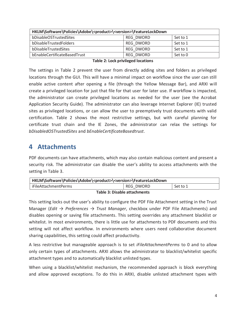| HKLM\Software\Policies\Adobe\ <product>\<version>\FeatureLockDown</version></product> |           |          |  |
|---------------------------------------------------------------------------------------|-----------|----------|--|
| bDisableOSTrustedSites                                                                | REG DWORD | Set to 1 |  |
| bDisableTrustedFolders                                                                | REG DWORD | Set to 1 |  |
| bDisableTrustedSites                                                                  | REG DWORD | Set to 1 |  |
| bEnableCertificateBasedTrust                                                          | REG DWORD | Set to 0 |  |
|                                                                                       |           |          |  |

|  |  | <b>Table 2: Lock privileged locations</b> |  |
|--|--|-------------------------------------------|--|
|--|--|-------------------------------------------|--|

The settings in Table 2 prevent the user from directly adding sites and folders as privileged locations through the GUI. This will have a minimal impact on workflow since the user can still enable active content after opening a file (through the Yellow Message Bar), and ARXI will create a privileged location for just that file for that user for later use. If workflow is impacted, the administrator can create privileged locations as needed for the user (see the Acrobat Application Security Guide). The administrator can also leverage Internet Explorer (IE) trusted sites as privileged locations, or can allow the user to preemptively trust documents with valid certification. Table 2 shows the most restrictive settings, but with careful planning for certificate trust chain and the IE Zones, the administrator can relax the settings for *bDisabledOSTrustedSites* and *bEnableCertificateBasedtrust*.

#### **4 Attachments**

PDF documents can have attachments, which may also contain malicious content and present a security risk. The administrator can disable the user's ability to access attachments with the setting in Table 3.

| HKLM\Software\Policies\Adobe\ <product>\<version>\FeatureLockDown</version></product> |           |          |  |
|---------------------------------------------------------------------------------------|-----------|----------|--|
| iFileAttachmentPerms                                                                  | REG DWORD | Set to 1 |  |
| Tekle 3: Disable attackments                                                          |           |          |  |

**Table 3: Disable attachments** 

This setting locks out the user's ability to configure the PDF File Attachment setting in the Trust Manager (*Edit → Preferences → Trust Manager*, checkbox under PDF File Attachments) and disables opening or saving file attachments. This setting overrides any attachment blacklist or whitelist. In most environments, there is little use for attachments to PDF documents and this setting will not affect workflow. In environments where users need collaborative document sharing capabilities, this setting could affect productivity.

A less restrictive but manageable approach is to set *iFileAttachmentPerms* to 0 and to allow only certain types of attachments. ARXI allows the administrator to blacklist/whitelist specific attachment types and to automatically blacklist unlisted types.

When using a blacklist/whitelist mechanism, the recommended approach is block everything and allow approved exceptions. To do this in ARXI, disable unlisted attachment types with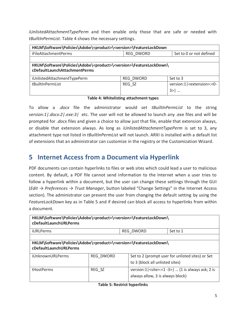*iUnlistedAttachmentTypePerm* and then enable only those that are safe or needed with *tBuiltInPermList*. Table 4 shows the necessary settings.

| HKLM\Software\Policies\Adobe\ <product>\<version>\FeatureLockDown</version></product>                                    |                  |                                 |  |  |
|--------------------------------------------------------------------------------------------------------------------------|------------------|---------------------------------|--|--|
| <b>iFileAttachmentPerms</b>                                                                                              | <b>REG DWORD</b> | Set to 0 or not defined         |  |  |
|                                                                                                                          |                  |                                 |  |  |
| HKLM\Software\Policies\Adobe\ <product>\<version>\FeatureLockDown\<br/>cDefaultLaunchAttachmentPerms</version></product> |                  |                                 |  |  |
| iUnlistedAttachmentTypePerm                                                                                              | REG DWORD        | Set to 3                        |  |  |
| tBuiltInPermList                                                                                                         | REG SZ           | version:1   < extension >: < 0- |  |  |
|                                                                                                                          |                  | 3 >                             |  |  |

**Table 4: Whitelisting attachment types** 

To allow a .*docx* file the administrator would set *tBuiltInPermList* to the string *version:1|.docx:2|.exe:3|* etc. The user will not be allowed to launch any .exe files and will be prompted for .*docx* files and given a choice to allow just that file, enable that extension always, or disable that extension always. As long as *iUnlistedAttachmentTypePerm* is set to 3, any attachment type not listed in *tBuiltInPermList* will not launch. ARXI is installed with a default list of extensions that an administrator can customize in the registry or the Customization Wizard.

### **5 Internet Access from a Document via Hyperlink**

PDF documents can contain hyperlinks to files or web sites which could lead a user to malicious content. By default, a PDF file cannot send information to the Internet when a user tries to follow a hyperlink within a document, but the user can change these settings through the GUI (*Edit → Preferences → Trust Manager*, button labeled "Change Settings" in the Internet Access section). The administrator can prevent the user from changing the default setting by using the *FeatureLockDown* key as in Table 5 and if desired can block all access to hyperlinks from within a document.

| HKLM\Software\Policies\Adobe\ <product>\<version>\FeatureLockDown\<br/>cDefaultLaunchURLPerms</version></product> |                  |                                 |                                                                                                                        |  |
|-------------------------------------------------------------------------------------------------------------------|------------------|---------------------------------|------------------------------------------------------------------------------------------------------------------------|--|
| <b>iURLPerms</b>                                                                                                  |                  | REG DWORD                       | Set to 1                                                                                                               |  |
|                                                                                                                   |                  |                                 |                                                                                                                        |  |
| HKLM\Software\Policies\Adobe\ <product>\<version>\FeatureLockDown\<br/>cDefaultLaunchURLPerms</version></product> |                  |                                 |                                                                                                                        |  |
| iUnknownURLPerms                                                                                                  | <b>REG DWORD</b> | to 3 (block all unlisted sites) | Set to 2 (prompt user for unlisted sites) or Set                                                                       |  |
| tHostPerms                                                                                                        | REG SZ           |                                 | version: $1$   <site>:&lt;<math>1 - 3</math>&gt;    (1 is always ask; 2 is<br/>always allow, 3 is always block)</site> |  |

|  | <b>Table 5: Restrict hyperlinks</b> |  |
|--|-------------------------------------|--|
|  |                                     |  |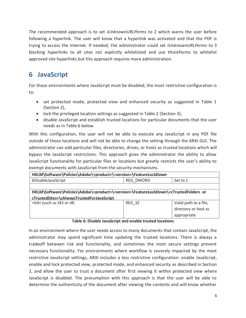The recommended approach is to set *iUnknownURLPerms* to 2 which warns the user before following a hyperlink. The user will know that a hyperlink was activated and that the PDF is trying to access the Internet. If needed, the administrator could set *iUnknownURLPerms* to 3 blocking hyperlinks to all sites not explicitly whitelisted and use tHostPerms to whitelist approved site hyperlinks but this approach requires more administration.

# **6 JavaScript**

For those environments where JavaScript must be disabled, the most restrictive configuration is to:

- $\bullet$  set protected mode, protected view and enhanced security as suggested in Table 1 (Section 2),
- lock the privileged location settings as suggested in Table 2 (Section 3),
- disable JavaScript and establish trusted locations for particular documents that the user needs as in Table 6 below.

With this configuration, the user will not be able to execute any JavaScript in any PDF file outside of those locations and will not be able to change the setting through the ARXI GUI. The administrator can add particular files, directories, drives, or hosts as trusted locations which will bypass the JavaScript restrictions. This approach gives the administrator the ability to allow JavaScript functionality for particular files or locations but greatly restricts the user's ability to exempt documents with JavaScript from the security mechanisms.

| HKLM\Software\Policies\Adobe\ <product>\<version>\FeatureLockDown</version></product>                                                                    |           |                       |
|----------------------------------------------------------------------------------------------------------------------------------------------------------|-----------|-----------------------|
| bDisableJavaScript                                                                                                                                       | REG DWORD | Set to 1              |
|                                                                                                                                                          |           |                       |
| HKLM\Software\Policies\Adobe\ <product>\<version>\FeatureLockDown\<ctrustedfolders or<="" td=""><td></td><td></td></ctrustedfolders></version></product> |           |                       |
| cTrustedSites>\cAlwaysTrustedForJavaScript                                                                                                               |           |                       |
| $<$ tid> (such as t43 or t#)                                                                                                                             | REG SZ    | Valid path to a file, |
|                                                                                                                                                          |           | directory or host as  |
|                                                                                                                                                          |           | appropriate           |

#### **Table 6: Disable JavaScript and enable trusted locations**

In an environment where the user needs access to many documents that contain JavaScript, the administrator may spend significant time updating the trusted locations. There is always a tradeoff between risk and functionality, and sometimes the most secure settings prevent necessary functionality. For environments where workflow is severely impacted by the most restrictive JavaScript settings, ARXI includes a less restrictive configuration: enable JavaScript, enable and lock protected view, protected mode, and enhanced security as described in Section 2, and allow the user to trust a document after first viewing it within protected view where JavaScript is disabled. The presumption with this approach is that the user will be able to determine the authenticity of the document after viewing the contents and will know whether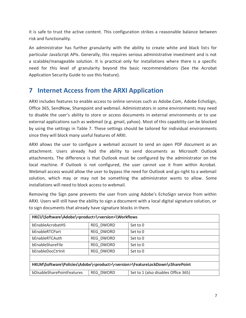it is safe to trust the active content. This configuration strikes a reasonable balance between risk and functionality.

An administrator has further granularity with the ability to create white and black lists for particular JavaScript APIs. Generally, this requires serious administrative investment and is not a scalable/manageable solution. It is practical only for installations where there is a specific need for this level of granularity beyond the basic recommendations (See the Acrobat Application Security Guide to use this feature).

### **7 Internet Access from the ARXI Application**

ARXI includes features to enable access to online services such as Adobe.Com, Adobe EchoSign, Office 365, SendNow, Sharepoint and webmail. Administrators in some environments may need to disable the user's ability to store or access documents in external environments or to use external applications such as webmail (e.g. gmail, yahoo). Most of this capability can be blocked by using the settings in Table 7. These settings should be tailored for individual environments since they will block many useful features of ARXI.

ARXI allows the user to configure a webmail account to send an open PDF document as an attachment. Users already had the ability to send documents as Microsoft Outlook attachments. The difference is that Outlook must be configured by the administrator on the local machine. If Outlook is not configured, the user cannot use it from within Acrobat. Webmail access would allow the user to bypass the need for Outlook and go right to a webmail solution, which may or may not be something the administrator wants to allow. Some installations will need to block access to webmail.

Removing the Sign pane prevents the user from using Adobe's EchoSign service from within ARXI. Users will still have the ability to sign a document with a local digital signature solution, or to sign documents that already have signature blocks in them.

| HKCU\Software\Adobe\ <product>\<version>\Workflows</version></product>                            |           |                                     |  |  |  |
|---------------------------------------------------------------------------------------------------|-----------|-------------------------------------|--|--|--|
| bEnableAcrobatHS                                                                                  | REG DWORD | Set to 0                            |  |  |  |
| bFnableRTCPart                                                                                    | REG DWORD | Set to 0                            |  |  |  |
| bEnableRTCAuth                                                                                    | REG DWORD | Set to 0                            |  |  |  |
| bEnableShareFile                                                                                  | REG DWORD | Set to 0                            |  |  |  |
| bEnableDocCtrlnit                                                                                 | REG DWORD | Set to 0                            |  |  |  |
|                                                                                                   |           |                                     |  |  |  |
| HKLM\Software\Policies\Adobe\ <product>\<version>\FeatureLockDown\cSharePoint</version></product> |           |                                     |  |  |  |
| bDisableSharePointFeatures                                                                        | REG DWORD | Set to 1 (also disables Office 365) |  |  |  |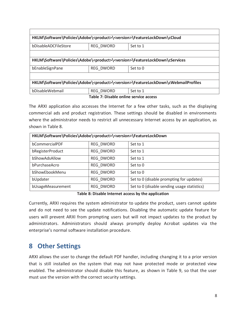|                      |                  | HKLM\Software\Policies\Adobe\ <product>\<version>\FeatureLockDown\cCloud</version></product>           |
|----------------------|------------------|--------------------------------------------------------------------------------------------------------|
| bDisableADCFileStore | <b>REG DWORD</b> | Set to 1                                                                                               |
|                      |                  |                                                                                                        |
|                      |                  | HKLM\Software\Policies\Adobe\ <product>\<version>\FeatureLockDown\cServices</version></product>        |
| bEnableSignPane      | <b>REG DWORD</b> | Set to 0                                                                                               |
|                      |                  |                                                                                                        |
|                      |                  | HKLM\Software\Policies\Adobe\ <product>\<version>\FeatureLockDown\cWebmailProfiles</version></product> |
| bDisableWebmail      | REG DWORD        | Set to 1                                                                                               |
|                      |                  | Table 7: Disable online service access                                                                 |

The ARXI application also accesses the Internet for a few other tasks, such as the displaying commercial ads and product registration. These settings should be disabled in environments where the administrator needs to restrict all unnecessary Internet access by an application, as shown in Table 8.

| HKLM\Software\Policies\Adobe\ <product>\<version>\FeatureLockDown</version></product> |           |                                             |  |  |  |
|---------------------------------------------------------------------------------------|-----------|---------------------------------------------|--|--|--|
| bCommercialPDF                                                                        | REG DWORD | Set to 1                                    |  |  |  |
| bRegisterProduct                                                                      | REG DWORD | Set to 1                                    |  |  |  |
| bShowAdsAllow                                                                         | REG DWORD | Set to 1                                    |  |  |  |
| bPurchaseAcro                                                                         | REG DWORD | Set to 0                                    |  |  |  |
| bShowEbookMenu                                                                        | REG DWORD | Set to 0                                    |  |  |  |
| bUpdater                                                                              | REG DWORD | Set to 0 (disable prompting for updates)    |  |  |  |
| bUsageMeasurement                                                                     | REG DWORD | Set to 0 (disable sending usage statistics) |  |  |  |

**Table 8: Disable Internet access by the application** 

Currently, ARXI requires the system administrator to update the product, users cannot update and do not need to see the update notifications. Disabling the automatic update feature for users will prevent ARXI from prompting users but will not impact updates to the product by administrators. Administrators should always promptly deploy Acrobat updates via the enterprise's normal software installation procedure.

#### **8 Other Settings**

ARXI allows the user to change the default PDF handler, including changing it to a prior version that is still installed on the system that may not have protected mode or protected view enabled. The administrator should disable this feature, as shown in Table 9, so that the user must use the version with the correct security settings.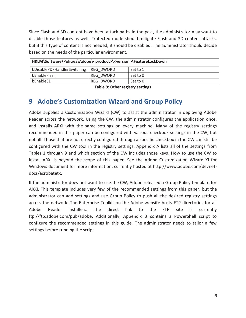Since Flash and 3D content have been attack paths in the past, the administrator may want to disable those features as well. Protected mode should mitigate Flash and 3D content attacks, but if this type of content is not needed, it should be disabled. The administrator should decide based on the needs of the particular environment.

| HKLM\Software\Policies\Adobe\ <product>\<version>\FeatureLockDown</version></product> |           |          |  |  |  |
|---------------------------------------------------------------------------------------|-----------|----------|--|--|--|
| bDisablePDFHandlerSwitching                                                           | REG DWORD | Set to 1 |  |  |  |
| bEnableFlash                                                                          | REG DWORD | Set to 0 |  |  |  |
| bEnable3D                                                                             | REG DWORD | Set to 0 |  |  |  |

**Table 9: Other registry settings** 

#### **9 Adobe's Customization Wizard and Group Policy**

Adobe supplies a Customization Wizard (CW) to assist the administrator in deploying Adobe Reader across the network. Using the CW, the administrator configures the application once, and installs ARXI with the same settings on every machine. Many of the registry settings recommended in this paper can be configured with various checkbox settings in the CW, but not all. Those that are not directly configured through a specific checkbox in the CW can still be configured with the CW tool in the registry settings. Appendix A lists all of the settings from Tables 1 through 9 and which section of the CW includes those keys. How to use the CW to install ARXI is beyond the scope of this paper. See the Adobe Customization Wizard XI for Windows document for more information, currently hosted at http://www.adobe.com/devnetdocs/acrobatetk.

If the administrator does not want to use the CW, Adobe released a Group Policy template for ARXI. This template includes very few of the recommended settings from this paper, but the administrator can add settings and use Group Policy to push all the desired registry settings across the network. The Enterprise Toolkit on the Adobe website hosts FTP directories for all Adobe Reader installers. The direct link to the FTP site is currently ftp://ftp.adobe.com/pub/adobe. Additionally, Appendix B contains a PowerShell script to configure the recommended settings in this guide. The administrator needs to tailor a few settings before running the script.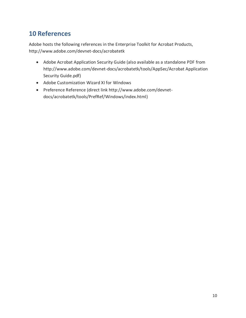## **10 References**

Adobe hosts the following references in the Enterprise Toolkit for Acrobat Products, http://www.adobe.com/devnet-docs/acrobatetk

- Adobe Acrobat Application Security Guide (also available as a standalone PDF from http://www.adobe.com/devnet-docs/acrobatetk/tools/AppSec/Acrobat Application Security Guide.pdf)
- Adobe Customization Wizard XI for Windows
- x Preference Reference (direct link http://www.adobe.com/devnetdocs/acrobatetk/tools/PrefRef/Windows/index.html)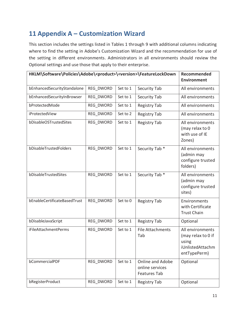# **11 Appendix A – Customization Wizard**

This section includes the settings listed in Tables 1 through 9 with additional columns indicating where to find the setting in Adobe's Customization Wizard and the recommendation for use of the setting in different environments. Administrators in all environments should review the Optional settings and use those that apply to their enterprise.

| HKLM\Software\Policies\Adobe\ <product>\<version>\FeatureLockDown</version></product> | Recommended<br><b>Environment</b> |          |                                                            |                                                                                     |
|---------------------------------------------------------------------------------------|-----------------------------------|----------|------------------------------------------------------------|-------------------------------------------------------------------------------------|
| bEnhancedSecurityStandalone                                                           | REG_DWORD                         | Set to 1 | Security Tab                                               | All environments                                                                    |
| bEnhancedSecurityInBrowser                                                            | REG_DWORD                         | Set to 1 | Security Tab                                               | All environments                                                                    |
| bProtectedMode                                                                        | REG DWORD                         | Set to 1 | <b>Registry Tab</b>                                        | All environments                                                                    |
| iProtectedView                                                                        | REG DWORD                         | Set to 2 | <b>Registry Tab</b>                                        | All environments                                                                    |
| bDisableOSTrustedSites                                                                | REG_DWORD                         | Set to 1 | <b>Registry Tab</b>                                        | All environments<br>(may relax to 0<br>with use of IE<br>Zones)                     |
| bDisableTrustedFolders                                                                | REG_DWORD                         | Set to 1 | Security Tab *                                             | All environments<br>(admin may<br>configure trusted<br>folders)                     |
| bDisableTrustedSites                                                                  | REG_DWORD                         | Set to 1 | Security Tab *                                             | All environments<br>(admin may<br>configure trusted<br>sites)                       |
| bEnableCertificateBasedTrust                                                          | REG_DWORD                         | Set to 0 | <b>Registry Tab</b>                                        | Environments<br>with Certificate<br><b>Trust Chain</b>                              |
| bDisableJavaScript                                                                    | REG_DWORD                         | Set to 1 | <b>Registry Tab</b>                                        | Optional                                                                            |
| iFileAttachmentPerms                                                                  | REG_DWORD                         | Set to 1 | <b>File Attachments</b><br>Tab                             | All environments<br>(may relax to 0 if<br>using<br>iUnlistedAttachm<br>entTypePerm) |
| bCommercialPDF                                                                        | REG_DWORD                         | Set to 1 | Online and Adobe<br>online services<br><b>Features Tab</b> | Optional                                                                            |
| bRegisterProduct                                                                      | REG_DWORD                         | Set to 1 | <b>Registry Tab</b>                                        | Optional                                                                            |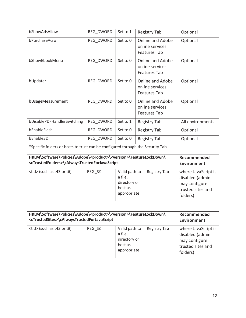| bShowAdsAllow               | REG DWORD | Set to 1 | Registry Tab                                        | Optional         |
|-----------------------------|-----------|----------|-----------------------------------------------------|------------------|
| bPurchaseAcro               | REG_DWORD | Set to 0 | Online and Adobe<br>online services<br>Features Tab | Optional         |
| bShowEbookMenu              | REG_DWORD | Set to 0 | Online and Adobe<br>online services<br>Features Tab | Optional         |
| bUpdater                    | REG_DWORD | Set to 0 | Online and Adobe<br>online services<br>Features Tab | Optional         |
| bUsageMeasurement           | REG DWORD | Set to 0 | Online and Adobe<br>online services<br>Features Tab | Optional         |
| bDisablePDFHandlerSwitching | REG_DWORD | Set to 1 | <b>Registry Tab</b>                                 | All environments |
| bEnableFlash                | REG_DWORD | Set to 0 | Registry Tab                                        | Optional         |
| bEnable3D                   | REG_DWORD | Set to 0 | Registry Tab                                        | Optional         |

\*Specific folders or hosts to trust can be configured through the Security Tab

| HKLM\Software\Policies\Adobe\ <product>\<version>\FeatureLockDown\</version></product> | Recommended        |                                                                    |                     |                                                                                          |
|----------------------------------------------------------------------------------------|--------------------|--------------------------------------------------------------------|---------------------|------------------------------------------------------------------------------------------|
| <ctrustedfolders>\cAlwaysTrustedForJavaScript</ctrustedfolders>                        | <b>Environment</b> |                                                                    |                     |                                                                                          |
| <tid> (such as t43 or t#)</tid>                                                        | REG SZ             | Valid path to<br>a file,<br>directory or<br>host as<br>appropriate | <b>Registry Tab</b> | where JavaScript is<br>disabled (admin<br>may configure<br>trusted sites and<br>folders) |

| HKLM\Software\Policies\Adobe\ <product>\<version>\FeatureLockDown\</version></product> | Recommended        |                                                                    |                     |                                                                                          |
|----------------------------------------------------------------------------------------|--------------------|--------------------------------------------------------------------|---------------------|------------------------------------------------------------------------------------------|
| <ctrustedsites>\cAlwaysTrustedForJavaScript</ctrustedsites>                            | <b>Environment</b> |                                                                    |                     |                                                                                          |
| $<$ tid> (such as t43 or t#)                                                           | REG SZ             | Valid path to<br>a file,<br>directory or<br>host as<br>appropriate | <b>Registry Tab</b> | where JavaScript is<br>disabled (admin<br>may configure<br>trusted sites and<br>folders) |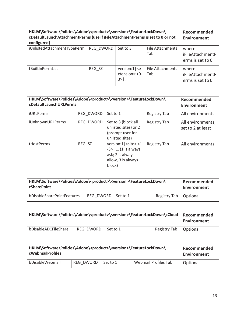| HKLM\Software\Policies\Adobe\ <product>\<version>\FeatureLockDown\<br/>cDefaultLaunchAttachmentPerms (use if iFileAttachmentPerms is set to 0 or not<br/>configured)</version></product> | Recommended<br><b>Environment</b> |                                                     |                         |                                               |
|------------------------------------------------------------------------------------------------------------------------------------------------------------------------------------------|-----------------------------------|-----------------------------------------------------|-------------------------|-----------------------------------------------|
| iUnlistedAttachmentTypePerm                                                                                                                                                              | REG DWORD                         | Set to 3                                            | File Attachments<br>Tab | where<br>iFileAttachmentP<br>erms is set to 0 |
| tBuiltInPermList                                                                                                                                                                         | REG SZ                            | version: $1$   $\leq$ e<br>xtension>:<0-<br>$3 > 1$ | File Attachments<br>Tab | where<br>iFileAttachmentP<br>erms is set to 0 |

| HKLM\Software\Policies\Adobe\ <product>\<version>\FeatureLockDown\<br/>cDefaultLaunchURLPerms</version></product> | Recommended<br>Environment |                                                                                                                            |                     |                                        |
|-------------------------------------------------------------------------------------------------------------------|----------------------------|----------------------------------------------------------------------------------------------------------------------------|---------------------|----------------------------------------|
| <b>iURLPerms</b>                                                                                                  | REG DWORD                  | Set to 1                                                                                                                   | Registry Tab        | All environments                       |
| iUnknownURLPerms                                                                                                  | REG DWORD                  | Set to 3 (block all<br>unlisted sites) or 2<br>(prompt user for<br>unlisted sites)                                         | <b>Registry Tab</b> | All environments,<br>set to 2 at least |
| tHostPerms                                                                                                        | REG SZ                     | version:1   <site>:&lt;1<br/><math>-3</math>    (1 is always<br/>ask; 2 is always<br/>allow, 3 is always<br/>block)</site> | Registry Tab        | All environments                       |

| HKLM\Software\Policies\Adobe\ <product>\<version>\FeatureLockDown\</version></product> | Recommended          |  |              |          |
|----------------------------------------------------------------------------------------|----------------------|--|--------------|----------|
| cSharePoint                                                                            | Environment          |  |              |          |
| bDisableSharePointFeatures                                                             | REG DWORD   Set to 1 |  | Registry Tab | Optional |

| HKLM\Software\Policies\Adobe\ <product>\<version>\FeatureLockDown\cCloud</version></product> | Recommended<br>Environment |          |              |          |
|----------------------------------------------------------------------------------------------|----------------------------|----------|--------------|----------|
| bDisableADCFileShare                                                                         | REG DWORD                  | Set to 1 | Registry Tab | Optional |

| HKLM\Software\Policies\Adobe\ <product>\<version>\FeatureLockDown\<br/><b>cWebmailProfiles</b></version></product> |           |          |                      | Recommended<br>Environment |
|--------------------------------------------------------------------------------------------------------------------|-----------|----------|----------------------|----------------------------|
| bDisableWebmail                                                                                                    | REG DWORD | Set to 1 | Webmail Profiles Tab | Optional                   |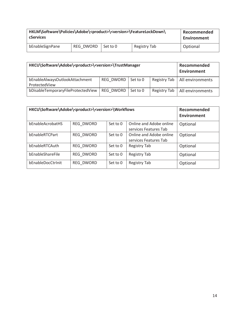| HKLM\Software\Policies\Adobe\ <product>\<version>\FeatureLockDown\<br/><b>cServices</b></version></product> |           |          |              | Recommended<br>Environment |
|-------------------------------------------------------------------------------------------------------------|-----------|----------|--------------|----------------------------|
| bEnableSignPane                                                                                             | REG DWORD | Set to 0 | Registry Tab | Optional                   |

| HKCU\Software\Adobe\ <product>\<version>\TrustManager</version></product> | Recommended<br><b>Environment</b> |          |              |                  |
|---------------------------------------------------------------------------|-----------------------------------|----------|--------------|------------------|
| bEnableAlwaysOutlookAttachment<br>ProtectedView                           | REG DWORD                         | Set to 0 | Registry Tab | All environments |
| bDisableTemporaryFileProtectedView                                        | REG DWORD                         | Set to 0 | Registry Tab | All environments |

| HKCU\Software\Adobe\ <product>\<version>\Workflows</version></product> | Recommended<br>Environment |          |                                                  |          |
|------------------------------------------------------------------------|----------------------------|----------|--------------------------------------------------|----------|
| bEnableAcrobatHS                                                       | REG DWORD                  | Set to 0 | Online and Adobe online<br>services Features Tab | Optional |
| bEnableRTCPart                                                         | REG DWORD                  | Set to 0 | Online and Adobe online<br>services Features Tab | Optional |
| bEnableRTCAuth                                                         | REG DWORD                  | Set to 0 | Registry Tab                                     | Optional |
| bEnableShareFile                                                       | REG DWORD                  | Set to 0 | Registry Tab                                     | Optional |
| bEnableDocCtrInit                                                      | REG DWORD                  | Set to 0 | Registry Tab                                     | Optional |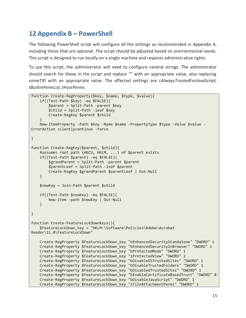## **12 Appendix B – PowerShell**

The following PowerShell script will configure all the settings as recommended in Appendix A, including those that are optional. The script should be adjusted based on environmental needs. This script is designed to run locally on a single machine and requires administrative rights.

To use this script, the administrator will need to configure several strings. The administrator should search for these in the script and replace "" with an appropriate value, also replacing *someTID* with an appropriate value. The affected settings are *cAlwaysTrustedForJavaScript, tBuiltinPermList, tHostPerms.*

```
function Create-RegProperty($key, $name, $type, $value){ 
     if((Test-Path $key) -eq $FALSE){ 
         $parent = Split-Path -parent $key 
         $child = Split-Path -leaf $key 
         Create-RegKey $parent $child 
 } 
   New-ItemProperty -Path $key -Name $name -PropertyType $type -Value $value -
ErrorAction silentlycontinue -force 
} 
function Create-RegKey($parent, $child){ 
     #assumes root path (HKCU, HKLM, ...) of $parent exists 
     if((Test-Path $parent) -eq $FALSE){ 
         $grandParent = Split-Path -parent $parent 
         $parentLeaf = Split-Path -leaf $parent 
         Create-RegKey $grandParent $parentLeaf | Out-Null 
     } 
    $newKey = Join-Path $parent $child 
    if((Test-Path $newKey) -eq $FALSE){ 
         New-Item -path $newKey | Out-Null 
    } 
} 
function Create-FeatureLockDownKeys(){ 
     $FeatureLockDown_key = "HKLM:\Software\Policies\Adobe\Acrobat 
Reader\11.0\FeatureLockDown" 
    Create-RegProperty $FeatureLockDown_key "bEnhancedSecurityStandalone" "DWORD" 1 
     Create-RegProperty $FeatureLockDown_key "bEnhancedSecurityInBrowser" "DWORD" 1 
     Create-RegProperty $FeatureLockDown_key "bProtectedMode" "DWORD" 1 
     Create-RegProperty $FeatureLockDown_key "iProtectedView" "DWORD" 2 
    Create-RegProperty $FeatureLockDown_key "bDisableOSTrustedSites" "DWORD" 1 
    Create-RegProperty $FeatureLockDown_key "bDisableTrustedFolders" "DWORD" 1 
     Create-RegProperty $FeatureLockDown_key "bDisabledTrustedSites" "DWORD" 1 
     Create-RegProperty $FeatureLockDown_key "bEnableCertificateBasedTrust" "DWORD" 0
 Create-RegProperty $FeatureLockDown_key "bDisableJavaScript" "DWORD" 1 
 Create-RegProperty $FeatureLockDown_key "iFileAttachmentPerms" "DWORD" 1
```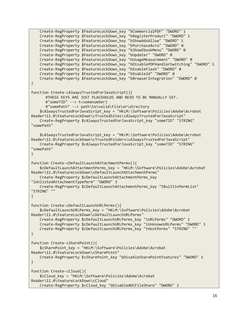```
 Create-RegProperty $FeatureLockDown_key "bCommercialPDF" "DWORD" 1 
    Create-RegProperty $FeatureLockDown_key "bRegisterProduct" "DWORD" 1 
     Create-RegProperty $FeatureLockDown_key "bShowAdsAllow" "DWORD" 1 
     Create-RegProperty $FeatureLockDown_key "bPurchaseAcro" "DWORD" 0 
     Create-RegProperty $FeatureLockDown_key "bShowEbookMenu" "DWORD" 0 
    Create-RegProperty $FeatureLockDown_key "bUpdater" "DWORD" 0 
     Create-RegProperty $FeatureLockDown_key "bUsageMeasurement" "DWORD" 0 
     Create-RegProperty $FeatureLockDown_key "bDisablePDFHandlerSwitching" "DWORD" 1 
     Create-RegProperty $FeatureLockDown_key "bEnableFlash" "DWORD" 0 
     Create-RegProperty $FeatureLockDown_key "bEnable3d" "DWORD" 0 
    Create-RegProperty $FeatureLockDown_key "bBrowserIntegration" "DWORD" 0 
} 
function Create-cAlwaysTrustedForJavaScript(){ 
       #THESE KEYS ARE JUST PLACEHOLDS AND NEED TO BE MANUALLY SET. 
       #"someTID" --> t<somenumber) 
       #"somePath" --> path\to\valid\file\or\directory 
     $cAlwaysTrustedForJavaScript_key = "HKLM:\Software\Policies\Adobe\Acrobat 
Reader\11.0\FeatureLockDown\cTrustedSites\cAlwaysTrustedForJavaScript" 
    Create-RegProperty $cAlwaysTrustedForJavaScript_key "someTID" "STRING" 
"somePath" 
     $cAlwaysTrustedForJavaScript_key = "HKLM:\Software\Policies\Adobe\Acrobat 
Reader\11.0\FeatureLockDown\cTrustedFolders\cAlwaysTrustedForJavaScript" 
    Create-RegProperty $cAlwaysTrustedForJavaScript_key "someTID" "STRING" 
"somePath" 
} 
function Create-cDefaultLaunchAttachmentPerms(){ 
     $cDefaultLaunchAttachmentPerms_key = "HKLM:\Software\Policies\Adobe\Acrobat 
Reader\11.0\FeatureLockDown\cDefaultLaunchAttachmentPerms" 
    Create-RegProperty $cDefaultLaunchAttachmentPerms_key 
"iUnlistedAttachmentTypePerm" "DWORD" 3 
    Create-RegProperty $cDefaultLaunchAttachmentPerms_key "tBuiltinPermList" 
"STRING" "" 
} 
function Create-cDefaultLaunchURLPerms(){ 
     $cDefaultLaunchURLPerms_key = "HKLM:\Software\Policies\Adobe\Acrobat 
Reader\11.0\FeatureLockDown\cDefaultLaunchURLPerms" 
     Create-RegProperty $cDefaultLaunchURLPerms_key "iURLPerms" "DWORD" 1 
    Create-RegProperty $cDefaultLaunchURLPerms_key "iUnknownURLPerms" "DWORD" 3 
   Create-RegProperty $cDefaultLaunchURLPerms key "tHostPerms" "STRING" ""
} 
function Create-cSharePoint(){ 
     $cSharePoint_key = "HKLM:\Software\Policies\Adobe\Acrobat 
Reader\11.0\FeatureLockDown\cSharePoint" 
    Create-RegProperty $cSharePoint_key "bDisableSharePointFeatures" "DWORD" 1 
} 
function Create-cCloud(){ 
     $cCloud_key = "HKLM:\Software\Policies\Adobe\Acrobat 
Reader\11.0\FeatureLockDown\cCloud" 
     Create-RegProperty $cCloud_key "bDisableADCFileShare" "DWORD" 1
```